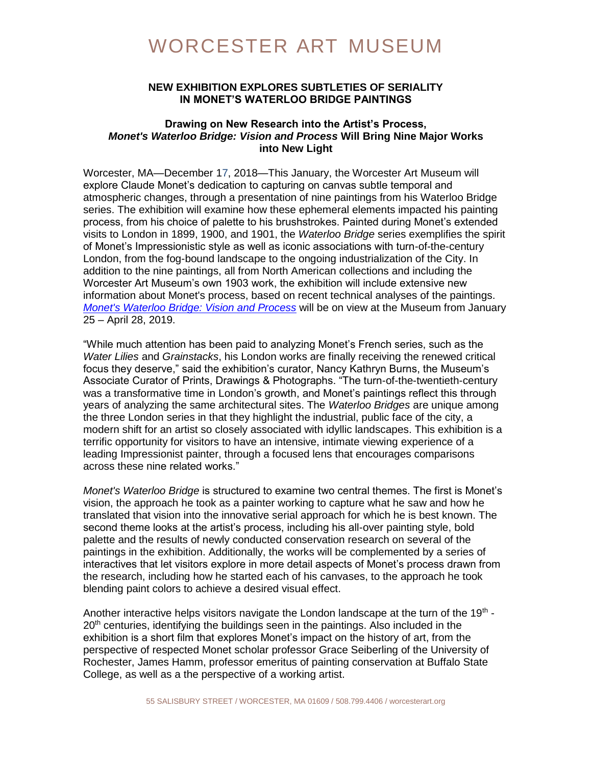# WORCESTER ART MUSEUM

### **NEW EXHIBITION EXPLORES SUBTLETIES OF SERIALITY IN MONET'S WATERLOO BRIDGE PAINTINGS**

### **Drawing on New Research into the Artist's Process,** *Monet's Waterloo Bridge: Vision and Process* **Will Bring Nine Major Works into New Light**

Worcester, MA—December 17, 2018—This January, the Worcester Art Museum will explore Claude Monet's dedication to capturing on canvas subtle temporal and atmospheric changes, through a presentation of nine paintings from his Waterloo Bridge series. The exhibition will examine how these ephemeral elements impacted his painting process, from his choice of palette to his brushstrokes. Painted during Monet's extended visits to London in 1899, 1900, and 1901, the *Waterloo Bridge* series exemplifies the spirit of Monet's Impressionistic style as well as iconic associations with turn-of-the-century London, from the fog-bound landscape to the ongoing industrialization of the City. In addition to the nine paintings, all from North American collections and including the Worcester Art Museum's own 1903 work, the exhibition will include extensive new information about Monet's process, based on recent technical analyses of the paintings. *[Monet's Waterloo Bridge: Vision and Process](https://www.worcesterart.org/exhibitions/waterloo-bridge/)* will be on view at the Museum from January 25 – April 28, 2019.

"While much attention has been paid to analyzing Monet's French series, such as the *Water Lilies* and *Grainstacks*, his London works are finally receiving the renewed critical focus they deserve," said the exhibition's curator, Nancy Kathryn Burns, the Museum's Associate Curator of Prints, Drawings & Photographs. "The turn-of-the-twentieth-century was a transformative time in London's growth, and Monet's paintings reflect this through years of analyzing the same architectural sites. The *Waterloo Bridges* are unique among the three London series in that they highlight the industrial, public face of the city, a modern shift for an artist so closely associated with idyllic landscapes. This exhibition is a terrific opportunity for visitors to have an intensive, intimate viewing experience of a leading Impressionist painter, through a focused lens that encourages comparisons across these nine related works."

*Monet's Waterloo Bridge* is structured to examine two central themes. The first is Monet's vision, the approach he took as a painter working to capture what he saw and how he translated that vision into the innovative serial approach for which he is best known. The second theme looks at the artist's process, including his all-over painting style, bold palette and the results of newly conducted conservation research on several of the paintings in the exhibition. Additionally, the works will be complemented by a series of interactives that let visitors explore in more detail aspects of Monet's process drawn from the research, including how he started each of his canvases, to the approach he took blending paint colors to achieve a desired visual effect.

Another interactive helps visitors navigate the London landscape at the turn of the 19<sup>th</sup> -20<sup>th</sup> centuries, identifying the buildings seen in the paintings. Also included in the exhibition is a short film that explores Monet's impact on the history of art, from the perspective of respected Monet scholar professor Grace Seiberling of the University of Rochester, James Hamm, professor emeritus of painting conservation at Buffalo State College, as well as a the perspective of a working artist.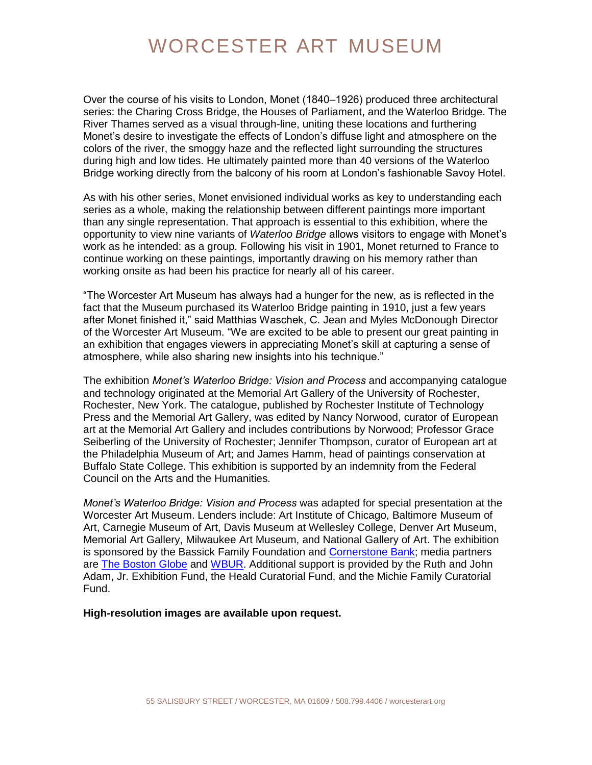# WORCESTER ART MUSEUM

Over the course of his visits to London, Monet (1840–1926) produced three architectural series: the Charing Cross Bridge, the Houses of Parliament, and the Waterloo Bridge. The River Thames served as a visual through-line, uniting these locations and furthering Monet's desire to investigate the effects of London's diffuse light and atmosphere on the colors of the river, the smoggy haze and the reflected light surrounding the structures during high and low tides. He ultimately painted more than 40 versions of the Waterloo Bridge working directly from the balcony of his room at London's fashionable Savoy Hotel.

As with his other series, Monet envisioned individual works as key to understanding each series as a whole, making the relationship between different paintings more important than any single representation. That approach is essential to this exhibition, where the opportunity to view nine variants of *Waterloo Bridge* allows visitors to engage with Monet's work as he intended: as a group. Following his visit in 1901, Monet returned to France to continue working on these paintings, importantly drawing on his memory rather than working onsite as had been his practice for nearly all of his career.

"The Worcester Art Museum has always had a hunger for the new, as is reflected in the fact that the Museum purchased its Waterloo Bridge painting in 1910, just a few years after Monet finished it," said Matthias Waschek, C. Jean and Myles McDonough Director of the Worcester Art Museum. "We are excited to be able to present our great painting in an exhibition that engages viewers in appreciating Monet's skill at capturing a sense of atmosphere, while also sharing new insights into his technique."

The exhibition *Monet's Waterloo Bridge: Vision and Process* and accompanying catalogue and technology originated at the Memorial Art Gallery of the University of Rochester, Rochester, New York. The catalogue, published by Rochester Institute of Technology Press and the Memorial Art Gallery, was edited by Nancy Norwood, curator of European art at the Memorial Art Gallery and includes contributions by Norwood; Professor Grace Seiberling of the University of Rochester; Jennifer Thompson, curator of European art at the Philadelphia Museum of Art; and James Hamm, head of paintings conservation at Buffalo State College. This exhibition is supported by an indemnity from the Federal Council on the Arts and the Humanities.

*Monet's Waterloo Bridge: Vision and Process* was adapted for special presentation at the Worcester Art Museum. Lenders include: Art Institute of Chicago, Baltimore Museum of Art, Carnegie Museum of Art, Davis Museum at Wellesley College, Denver Art Museum, Memorial Art Gallery, Milwaukee Art Museum, and National Gallery of Art. The exhibition is sponsored by the Bassick Family Foundation and [Cornerstone Bank;](https://cornerstonebank.com/) media partners are [The Boston Globe](https://www.bostonglobe.com/) and [WBUR.](https://www.wbur.org/) Additional support is provided by the Ruth and John Adam, Jr. Exhibition Fund, the Heald Curatorial Fund, and the Michie Family Curatorial Fund.

#### **High-resolution images are available upon request.**